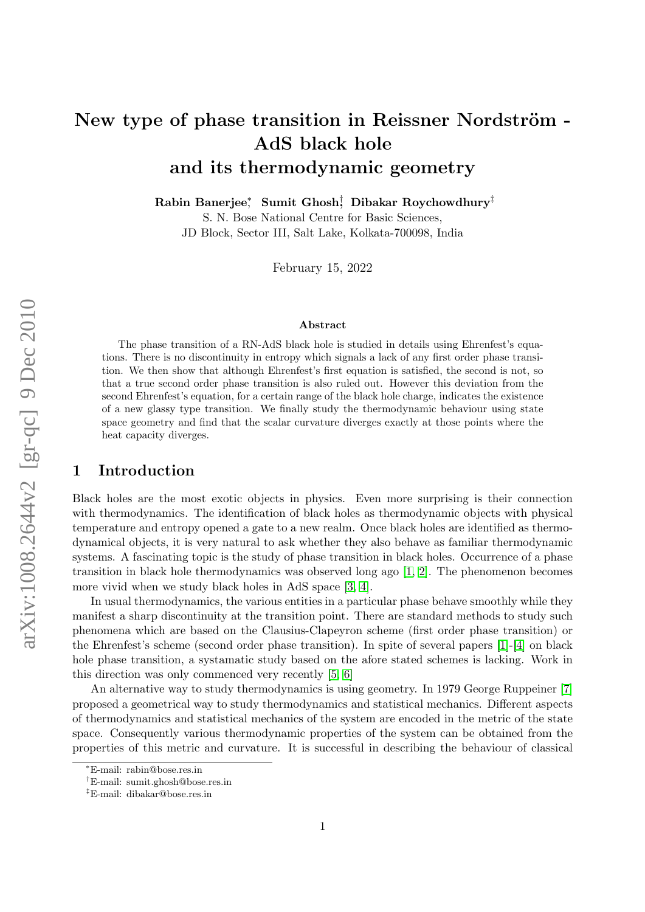# New type of phase transition in Reissner Nordström -AdS black hole and its thermodynamic geometry

Rabin Banerjee $_1^*$  Sumit Ghosh $_2^\dagger$  Dibakar Roychowdhury $^\ddagger$ 

S. N. Bose National Centre for Basic Sciences, JD Block, Sector III, Salt Lake, Kolkata-700098, India

February 15, 2022

#### Abstract

The phase transition of a RN-AdS black hole is studied in details using Ehrenfest's equations. There is no discontinuity in entropy which signals a lack of any first order phase transition. We then show that although Ehrenfest's first equation is satisfied, the second is not, so that a true second order phase transition is also ruled out. However this deviation from the second Ehrenfest's equation, for a certain range of the black hole charge, indicates the existence of a new glassy type transition. We finally study the thermodynamic behaviour using state space geometry and find that the scalar curvature diverges exactly at those points where the heat capacity diverges.

### 1 Introduction

Black holes are the most exotic objects in physics. Even more surprising is their connection with thermodynamics. The identification of black holes as thermodynamic objects with physical temperature and entropy opened a gate to a new realm. Once black holes are identified as thermodynamical objects, it is very natural to ask whether they also behave as familiar thermodynamic systems. A fascinating topic is the study of phase transition in black holes. Occurrence of a phase transition in black hole thermodynamics was observed long ago [\[1,](#page-11-0) [2\]](#page-11-1). The phenomenon becomes more vivid when we study black holes in AdS space [\[3,](#page-11-2) [4\]](#page-11-3).

In usual thermodynamics, the various entities in a particular phase behave smoothly while they manifest a sharp discontinuity at the transition point. There are standard methods to study such phenomena which are based on the Clausius-Clapeyron scheme (first order phase transition) or the Ehrenfest's scheme (second order phase transition). In spite of several papers [\[1\]](#page-11-0)-[\[4\]](#page-11-3) on black hole phase transition, a systamatic study based on the afore stated schemes is lacking. Work in this direction was only commenced very recently [\[5,](#page-11-4) [6\]](#page-11-5)

An alternative way to study thermodynamics is using geometry. In 1979 George Ruppeiner [\[7\]](#page-11-6) proposed a geometrical way to study thermodynamics and statistical mechanics. Different aspects of thermodynamics and statistical mechanics of the system are encoded in the metric of the state space. Consequently various thermodynamic properties of the system can be obtained from the properties of this metric and curvature. It is successful in describing the behaviour of classical

<sup>∗</sup>E-mail: rabin@bose.res.in

<sup>†</sup>E-mail: sumit.ghosh@bose.res.in

<sup>‡</sup>E-mail: dibakar@bose.res.in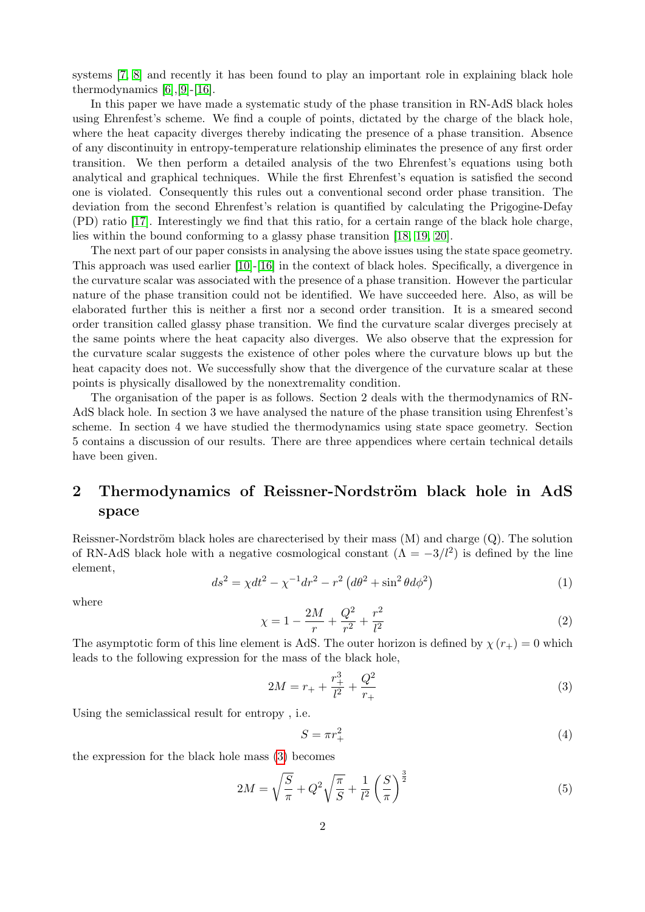systems [\[7,](#page-11-6) [8\]](#page-11-7) and recently it has been found to play an important role in explaining black hole thermodynamics [\[6\]](#page-11-5),[\[9\]](#page-11-8)-[\[16\]](#page-11-9).

In this paper we have made a systematic study of the phase transition in RN-AdS black holes using Ehrenfest's scheme. We find a couple of points, dictated by the charge of the black hole, where the heat capacity diverges thereby indicating the presence of a phase transition. Absence of any discontinuity in entropy-temperature relationship eliminates the presence of any first order transition. We then perform a detailed analysis of the two Ehrenfest's equations using both analytical and graphical techniques. While the first Ehrenfest's equation is satisfied the second one is violated. Consequently this rules out a conventional second order phase transition. The deviation from the second Ehrenfest's relation is quantified by calculating the Prigogine-Defay (PD) ratio [\[17\]](#page-12-0). Interestingly we find that this ratio, for a certain range of the black hole charge, lies within the bound conforming to a glassy phase transition [\[18,](#page-12-1) [19,](#page-12-2) [20\]](#page-12-3).

The next part of our paper consists in analysing the above issues using the state space geometry. This approach was used earlier [\[10\]](#page-11-10)-[\[16\]](#page-11-9) in the context of black holes. Specifically, a divergence in the curvature scalar was associated with the presence of a phase transition. However the particular nature of the phase transition could not be identified. We have succeeded here. Also, as will be elaborated further this is neither a first nor a second order transition. It is a smeared second order transition called glassy phase transition. We find the curvature scalar diverges precisely at the same points where the heat capacity also diverges. We also observe that the expression for the curvature scalar suggests the existence of other poles where the curvature blows up but the heat capacity does not. We successfully show that the divergence of the curvature scalar at these points is physically disallowed by the nonextremality condition.

The organisation of the paper is as follows. Section 2 deals with the thermodynamics of RN-AdS black hole. In section 3 we have analysed the nature of the phase transition using Ehrenfest's scheme. In section 4 we have studied the thermodynamics using state space geometry. Section 5 contains a discussion of our results. There are three appendices where certain technical details have been given.

### 2 Thermodynamics of Reissner-Nordström black hole in AdS space

Reissner-Nordström black holes are charecterised by their mass  $(M)$  and charge  $(Q)$ . The solution of RN-AdS black hole with a negative cosmological constant  $(\Lambda = -3/l^2)$  is defined by the line element,

$$
ds^{2} = \chi dt^{2} - \chi^{-1} dr^{2} - r^{2} \left( d\theta^{2} + \sin^{2} \theta d\phi^{2} \right)
$$
 (1)

where

$$
\chi = 1 - \frac{2M}{r} + \frac{Q^2}{r^2} + \frac{r^2}{l^2} \tag{2}
$$

The asymptotic form of this line element is AdS. The outer horizon is defined by  $\chi(r_{+}) = 0$  which leads to the following expression for the mass of the black hole,

<span id="page-1-0"></span>
$$
2M = r_{+} + \frac{r_{+}^{3}}{l^{2}} + \frac{Q^{2}}{r_{+}}
$$
\n(3)

Using the semiclassical result for entropy , i.e.

$$
S = \pi r_+^2 \tag{4}
$$

the expression for the black hole mass [\(3\)](#page-1-0) becomes

<span id="page-1-1"></span>
$$
2M = \sqrt{\frac{S}{\pi}} + Q^2 \sqrt{\frac{\pi}{S}} + \frac{1}{l^2} \left(\frac{S}{\pi}\right)^{\frac{3}{2}}
$$
(5)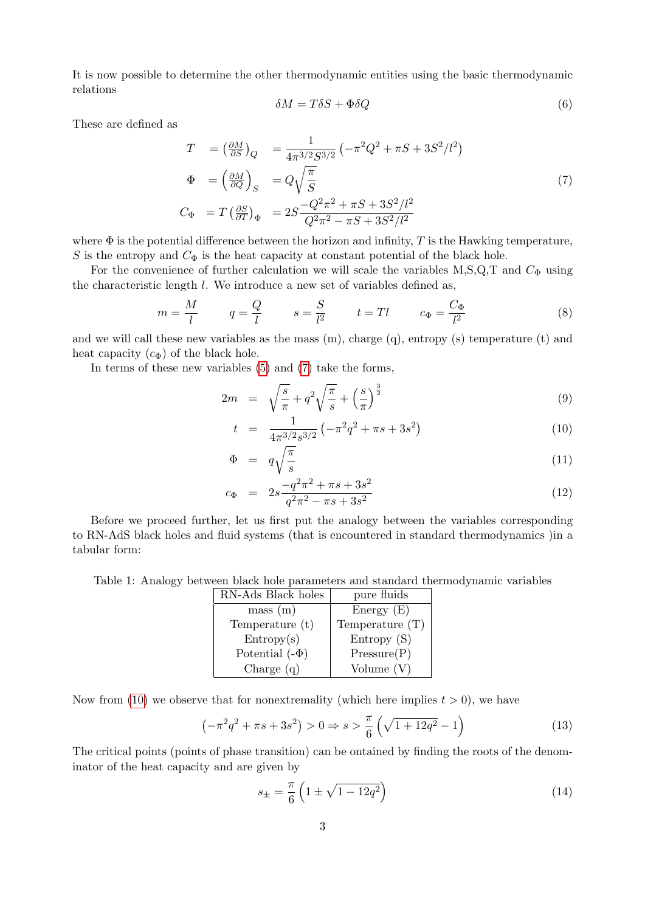It is now possible to determine the other thermodynamic entities using the basic thermodynamic relations

$$
\delta M = T \delta S + \Phi \delta Q \tag{6}
$$

These are defined as

<span id="page-2-0"></span>
$$
T = \left(\frac{\partial M}{\partial S}\right)_Q = \frac{1}{4\pi^{3/2} S^{3/2}} \left(-\pi^2 Q^2 + \pi S + 3S^2/l^2\right)
$$
  
\n
$$
\Phi = \left(\frac{\partial M}{\partial Q}\right)_S = Q \sqrt{\frac{\pi}{S}}
$$
  
\n
$$
C_{\Phi} = T \left(\frac{\partial S}{\partial T}\right)_{\Phi} = 2S \frac{-Q^2 \pi^2 + \pi S + 3S^2/l^2}{Q^2 \pi^2 - \pi S + 3S^2/l^2}
$$
\n(7)

where  $\Phi$  is the potential difference between the horizon and infinity, T is the Hawking temperature, S is the entropy and  $C_{\Phi}$  is the heat capacity at constant potential of the black hole.

For the convenience of further calculation we will scale the variables M,S,Q,T and  $C_{\Phi}$  using the characteristic length  $l$ . We introduce a new set of variables defined as,

$$
m = \frac{M}{l} \qquad q = \frac{Q}{l} \qquad s = \frac{S}{l^2} \qquad t = Tl \qquad c_{\Phi} = \frac{C_{\Phi}}{l^2} \tag{8}
$$

and we will call these new variables as the mass  $(m)$ , charge  $(q)$ , entropy  $(s)$  temperature  $(t)$  and heat capacity  $(c_{\Phi})$  of the black hole.

In terms of these new variables [\(5\)](#page-1-1) and [\(7\)](#page-2-0) take the forms,

$$
2m = \sqrt{\frac{s}{\pi}} + q^2 \sqrt{\frac{\pi}{s}} + \left(\frac{s}{\pi}\right)^{\frac{3}{2}}
$$
(9)

<span id="page-2-1"></span>
$$
t = \frac{1}{4\pi^{3/2}s^{3/2}} \left( -\pi^2 q^2 + \pi s + 3s^2 \right) \tag{10}
$$

$$
\Phi = q \sqrt{\frac{\pi}{s}} \tag{11}
$$

$$
c_{\Phi} = 2s \frac{-q^2 \pi^2 + \pi s + 3s^2}{q^2 \pi^2 - \pi s + 3s^2}
$$
\n(12)

Before we proceed further, let us first put the analogy between the variables corresponding to RN-AdS black holes and fluid systems (that is encountered in standard thermodynamics )in a tabular form:

<span id="page-2-4"></span>Table 1: Analogy between black hole parameters and standard thermodynamic variables

| RN-Ads Black holes  | pure fluids       |
|---------------------|-------------------|
| mass (m)            | Energy $(E)$      |
| Temperature (t)     | Temperature $(T)$ |
| Entropy(s)          | Entropy(S)        |
| Potential $(-\Phi)$ | Pressure(P)       |
| Charge $(q)$        | Volume $(V)$      |

Now from [\(10\)](#page-2-1) we observe that for nonextremality (which here implies  $t > 0$ ), we have

<span id="page-2-2"></span>
$$
\left(-\pi^2 q^2 + \pi s + 3s^2\right) > 0 \Rightarrow s > \frac{\pi}{6} \left(\sqrt{1 + 12q^2} - 1\right) \tag{13}
$$

The critical points (points of phase transition) can be ontained by finding the roots of the denominator of the heat capacity and are given by

<span id="page-2-3"></span>
$$
s_{\pm} = \frac{\pi}{6} \left( 1 \pm \sqrt{1 - 12q^2} \right) \tag{14}
$$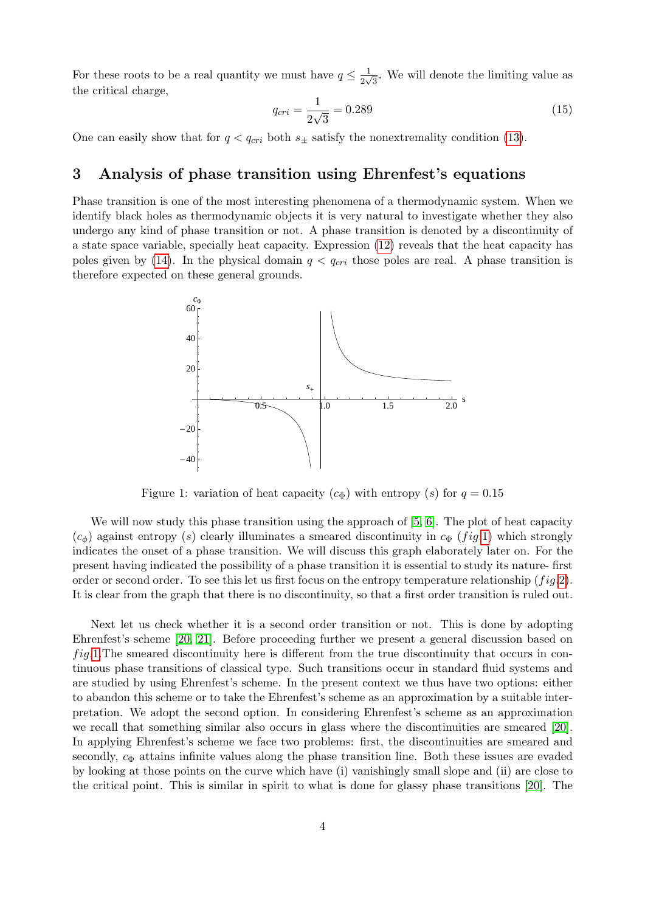For these roots to be a real quantity we must have  $q \leq \frac{1}{2}$  $\frac{1}{2\sqrt{3}}$ . We will denote the limiting value as the critical charge,

<span id="page-3-1"></span>
$$
q_{cri} = \frac{1}{2\sqrt{3}} = 0.289\tag{15}
$$

One can easily show that for  $q < q_{cri}$  both  $s_{\pm}$  satisfy the nonextremality condition [\(13\)](#page-2-2).

### 3 Analysis of phase transition using Ehrenfest's equations

Phase transition is one of the most interesting phenomena of a thermodynamic system. When we identify black holes as thermodynamic objects it is very natural to investigate whether they also undergo any kind of phase transition or not. A phase transition is denoted by a discontinuity of a state space variable, specially heat capacity. Expression [\(12\)](#page-2-1) reveals that the heat capacity has poles given by [\(14\)](#page-2-3). In the physical domain  $q < q_{cri}$  those poles are real. A phase transition is therefore expected on these general grounds.



<span id="page-3-0"></span>Figure 1: variation of heat capacity  $(c_{\Phi})$  with entropy  $(s)$  for  $q = 0.15$ 

We will now study this phase transition using the approach of [\[5,](#page-11-4) [6\]](#page-11-5). The plot of heat capacity  $(c_{\phi})$  against entropy (s) clearly illuminates a smeared discontinuity in  $c_{\Phi}$  (fig.[1\)](#page-3-0) which strongly indicates the onset of a phase transition. We will discuss this graph elaborately later on. For the present having indicated the possibility of a phase transition it is essential to study its nature- first order or second order. To see this let us first focus on the entropy temperature relationship  $(f \, i \, g. 2)$  $(f \, i \, g. 2)$ . It is clear from the graph that there is no discontinuity, so that a first order transition is ruled out.

Next let us check whether it is a second order transition or not. This is done by adopting Ehrenfest's scheme [\[20,](#page-12-3) [21\]](#page-12-4). Before proceeding further we present a general discussion based on  $fig.1.$  $fig.1.$  The smeared discontinuity here is different from the true discontinuity that occurs in continuous phase transitions of classical type. Such transitions occur in standard fluid systems and are studied by using Ehrenfest's scheme. In the present context we thus have two options: either to abandon this scheme or to take the Ehrenfest's scheme as an approximation by a suitable interpretation. We adopt the second option. In considering Ehrenfest's scheme as an approximation we recall that something similar also occurs in glass where the discontinuities are smeared [\[20\]](#page-12-3). In applying Ehrenfest's scheme we face two problems: first, the discontinuities are smeared and secondly,  $c_{\Phi}$  attains infinite values along the phase transition line. Both these issues are evaded by looking at those points on the curve which have (i) vanishingly small slope and (ii) are close to the critical point. This is similar in spirit to what is done for glassy phase transitions [\[20\]](#page-12-3). The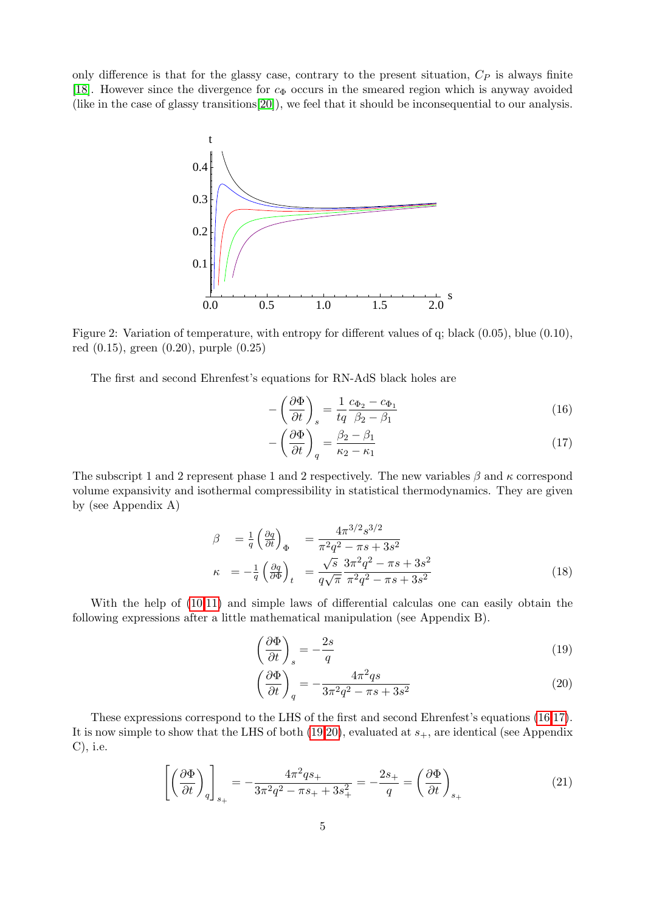only difference is that for the glassy case, contrary to the present situation,  $C_P$  is always finite [\[18\]](#page-12-1). However since the divergence for  $c_{\Phi}$  occurs in the smeared region which is anyway avoided (like in the case of glassy transitions[\[20\]](#page-12-3)), we feel that it should be inconsequential to our analysis.



<span id="page-4-0"></span>Figure 2: Variation of temperature, with entropy for different values of q; black (0.05), blue (0.10), red (0.15), green (0.20), purple (0.25)

The first and second Ehrenfest's equations for RN-AdS black holes are

$$
-\left(\frac{\partial \Phi}{\partial t}\right)_s = \frac{1}{tq} \frac{c_{\Phi_2} - c_{\Phi_1}}{\beta_2 - \beta_1} \tag{16}
$$

<span id="page-4-1"></span>
$$
-\left(\frac{\partial \Phi}{\partial t}\right)_q = \frac{\beta_2 - \beta_1}{\kappa_2 - \kappa_1} \tag{17}
$$

The subscript 1 and 2 represent phase 1 and 2 respectively. The new variables  $\beta$  and  $\kappa$  correspond volume expansivity and isothermal compressibility in statistical thermodynamics. They are given by (see Appendix A)

<span id="page-4-3"></span>
$$
\beta = \frac{1}{q} \left( \frac{\partial q}{\partial t} \right)_{\Phi} = \frac{4\pi^{3/2} s^{3/2}}{\pi^2 q^2 - \pi s + 3s^2} \n\kappa = -\frac{1}{q} \left( \frac{\partial q}{\partial \Phi} \right)_t = \frac{\sqrt{s}}{q \sqrt{\pi}} \frac{3\pi^2 q^2 - \pi s + 3s^2}{\pi^2 q^2 - \pi s + 3s^2}
$$
\n(18)

With the help of [\(10,11\)](#page-2-1) and simple laws of differential calculas one can easily obtain the following expressions after a little mathematical manipulation (see Appendix B).

$$
\left(\frac{\partial \Phi}{\partial t}\right)_s = -\frac{2s}{q} \tag{19}
$$

<span id="page-4-2"></span>
$$
\left(\frac{\partial \Phi}{\partial t}\right)_q = -\frac{4\pi^2 qs}{3\pi^2 q^2 - \pi s + 3s^2} \tag{20}
$$

These expressions correspond to the LHS of the first and second Ehrenfest's equations [\(16,17\)](#page-4-1). It is now simple to show that the LHS of both  $(19,20)$ , evaluated at  $s_{+}$ , are identical (see Appendix C), i.e.

<span id="page-4-4"></span>
$$
\left[ \left( \frac{\partial \Phi}{\partial t} \right)_q \right]_{s_+} = -\frac{4\pi^2 q s_+}{3\pi^2 q^2 - \pi s_+ + 3s_+^2} = -\frac{2s_+}{q} = \left( \frac{\partial \Phi}{\partial t} \right)_{s_+} \tag{21}
$$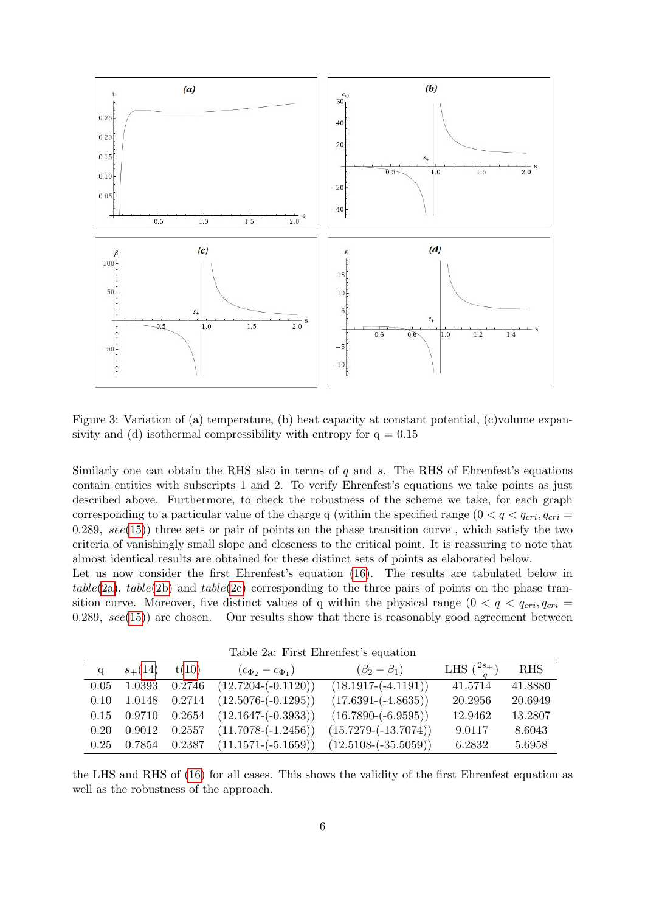

Figure 3: Variation of (a) temperature, (b) heat capacity at constant potential, (c)volume expansivity and (d) isothermal compressibility with entropy for  $q = 0.15$ 

Similarly one can obtain the RHS also in terms of  $q$  and  $s$ . The RHS of Ehrenfest's equations contain entities with subscripts 1 and 2. To verify Ehrenfest's equations we take points as just described above. Furthermore, to check the robustness of the scheme we take, for each graph corresponding to a particular value of the charge q (within the specified range  $(0 < q < q_{cri}, q_{cri} =$ 0.289,  $see(15)$  $see(15)$  three sets or pair of points on the phase transition curve, which satisfy the two criteria of vanishingly small slope and closeness to the critical point. It is reassuring to note that almost identical results are obtained for these distinct sets of points as elaborated below.

Let us now consider the first Ehrenfest's equation [\(16\)](#page-4-1). The results are tabulated below in table[\(2a\)](#page-2-4), table[\(2b\)](#page-5-0) and table[\(2c\)](#page-6-0) corresponding to the three pairs of points on the phase transition curve. Moreover, five distinct values of q within the physical range  $(0 < q < q_{cri}, q_{cri} =$  $(0.289, \, see(15))$  $(0.289, \, see(15))$  $(0.289, \, see(15))$  are chosen. Our results show that there is reasonably good agreement between

<span id="page-5-0"></span>Table 2a: First Ehrenfest's equation

| $100010$ = 0.000 $1000$ $10000$ $10000$ $10000$ |             |        |                           |                          |                                   |            |
|-------------------------------------------------|-------------|--------|---------------------------|--------------------------|-----------------------------------|------------|
| $\alpha$                                        | $s_{+}(14)$ | t(10)  | $(c_{\Phi_2}-c_{\Phi_1})$ | $(\beta_2-\beta_1)$      | LHS $\left(\frac{2s_+}{a}\right)$ | <b>RHS</b> |
| 0.05                                            | 1.0393      | 0.2746 | $(12.7204 - (-0.1120))$   | $(18.1917 - (-4.1191))$  | 41.5714                           | 41.8880    |
| 0.10                                            | 1.0148      | 0.2714 | $(12.5076 - (-0.1295))$   | $(17.6391 - (-4.8635))$  | 20.2956                           | 20.6949    |
| 0.15                                            | 0.9710      | 0.2654 | $(12.1647 - (-0.3933))$   | $(16.7890 - (-6.9595))$  | 12.9462                           | 13.2807    |
| 0.20                                            | 0.9012      | 0.2557 | $(11.7078 - (-1.2456))$   | $(15.7279 - (-13.7074))$ | 9.0117                            | 8.6043     |
| 0.25                                            | 0.7854      | 0.2387 | $(11.1571 - (-5.1659))$   | $(12.5108 - (-35.5059))$ | 6.2832                            | 5.6958     |

the LHS and RHS of [\(16\)](#page-4-1) for all cases. This shows the validity of the first Ehrenfest equation as well as the robustness of the approach.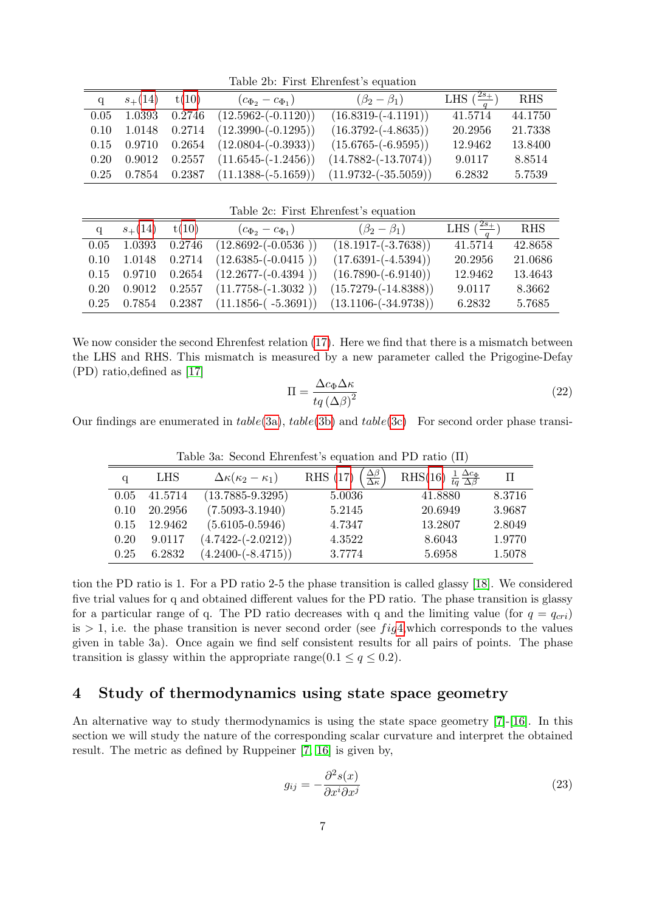Table 2b: First Ehrenfest's equation

| q    | $s_{+}(14)$     | t(10)  | $(c_{\Phi_2} - c_{\Phi_1})$      | $(\beta_2-\beta_1)$      | LHS $\left(\frac{2s_+}{a}\right)$ | <b>RHS</b> |
|------|-----------------|--------|----------------------------------|--------------------------|-----------------------------------|------------|
| 0.05 | 1.0393          | 0.2746 | $(12.5962 - (-0.1120))$          | $(16.8319 - (-4.1191))$  | 41.5714                           | 44.1750    |
| 0.10 | 1.0148          | 0.2714 | $(12.3990 - (-0.1295))$          | $(16.3792 - (-4.8635))$  | 20.2956                           | 21.7338    |
|      | $0.15$ $0.9710$ | 0.2654 | $(12.0804 - (-0.3933))$          | $(15.6765 - (-6.9595))$  | 12.9462                           | 13.8400    |
| 0.20 | 0.9012          |        | $0.2557$ $(11.6545 - (-1.2456))$ | $(14.7882 - (-13.7074))$ | 9.0117                            | 8.8514     |
| 0.25 | $\,0.7854\,$    |        | $0.2387$ $(11.1388-(-5.1659))$   | $(11.9732 - (-35.5059))$ | 6.2832                            | 5.7539     |

<span id="page-6-0"></span>Table 2c: First Ehrenfest's equation

|      | $s_{+}(14)$ | t(10)           | $(c_{\Phi_2} - c_{\Phi_1})$      | $(\beta_2 - \beta_1)$    | LHS $\left(\frac{2s_+}{a}\right)$ | <b>RHS</b> |
|------|-------------|-----------------|----------------------------------|--------------------------|-----------------------------------|------------|
| 0.05 | 1.0393      | 0.2746          | $(12.8692 - (-0.0536))$          | $(18.1917 - (-3.7638))$  | 41.5714                           | 42.8658    |
| 0.10 | 1.0148      | 0.2714          | $(12.6385 - (-0.0415))$          | $(17.6391 - (-4.5394))$  | 20.2956                           | 21.0686    |
| 0.15 | 0.9710      |                 | $0.2654$ $(12.2677 - (-0.4394))$ | $(16.7890 - (-6.9140))$  | 12.9462                           | 13.4643    |
| 0.20 | 0.9012      |                 | $0.2557$ $(11.7758-(-1.3032))$   | $(15.7279 - (-14.8388))$ | 9.0117                            | 8.3662     |
| 0.25 |             | $0.7854$ 0.2387 | $(11.1856-(-5.3691))$            | $(13.1106 - (-34.9738))$ | 6.2832                            | 5.7685     |

We now consider the second Ehrenfest relation [\(17\)](#page-4-1). Here we find that there is a mismatch between the LHS and RHS. This mismatch is measured by a new parameter called the Prigogine-Defay (PD) ratio,defined as [\[17\]](#page-12-0)

$$
\Pi = \frac{\Delta c_{\Phi} \Delta \kappa}{tq \left(\Delta \beta\right)^2} \tag{22}
$$

Our findings are enumerated in  $table(3a)$  $table(3a)$ ,  $table(3b)$  $table(3b)$  and  $table(3c)$  $table(3c)$  For second order phase transi-

|      | $\frac{1}{2}$ and $\frac{1}{2}$ are $\frac{1}{2}$ and $\frac{1}{2}$ and $\frac{1}{2}$ and $\frac{1}{2}$ and $\frac{1}{2}$ and $\frac{1}{2}$ and $\frac{1}{2}$ and $\frac{1}{2}$ and $\frac{1}{2}$ and $\frac{1}{2}$ and $\frac{1}{2}$ and $\frac{1}{2}$ and $\frac{1}{2}$ and $\frac{1}{2}$ a |                                    |                                                            |                                                             |        |  |  |
|------|-----------------------------------------------------------------------------------------------------------------------------------------------------------------------------------------------------------------------------------------------------------------------------------------------|------------------------------------|------------------------------------------------------------|-------------------------------------------------------------|--------|--|--|
| q    | <b>LHS</b>                                                                                                                                                                                                                                                                                    | $\Delta \kappa(\kappa_2-\kappa_1)$ | RHS (17) $\left(\frac{\Delta\beta}{\Delta\kappa}\right)^2$ | RHS(16) $\frac{1}{ta} \frac{\Delta c_{\Phi}}{\Delta \beta}$ | П      |  |  |
| 0.05 | 41.5714                                                                                                                                                                                                                                                                                       | $(13.7885 - 9.3295)$               | 5.0036                                                     | 41.8880                                                     | 8.3716 |  |  |
| 0.10 | 20.2956                                                                                                                                                                                                                                                                                       | $(7.5093 - 3.1940)$                | 5.2145                                                     | 20.6949                                                     | 3.9687 |  |  |
| 0.15 | 12.9462                                                                                                                                                                                                                                                                                       | $(5.6105 - 0.5946)$                | 4.7347                                                     | 13.2807                                                     | 2.8049 |  |  |
| 0.20 | 9.0117                                                                                                                                                                                                                                                                                        | $(4.7422 - (-2.0212))$             | 4.3522                                                     | 8.6043                                                      | 1.9770 |  |  |
| 0.25 | 6.2832                                                                                                                                                                                                                                                                                        | $(4.2400 - (-8.4715))$             | 3.7774                                                     | 5.6958                                                      | 1.5078 |  |  |

Table 3a: Second Ehrenfest's equation and PD ratio (Π)

tion the PD ratio is 1. For a PD ratio 2-5 the phase transition is called glassy [\[18\]](#page-12-1). We considered five trial values for q and obtained different values for the PD ratio. The phase transition is glassy for a particular range of q. The PD ratio decreases with q and the limiting value (for  $q = q_{cri}$ ) is  $> 1$ , i.e. the phase transition is never second order (see fig[4,](#page-8-0) which corresponds to the values given in table 3a). Once again we find self consistent results for all pairs of points. The phase transition is glassy within the appropriate range( $0.1 \le q \le 0.2$ ).

### 4 Study of thermodynamics using state space geometry

An alternative way to study thermodynamics is using the state space geometry [\[7\]](#page-11-6)-[\[16\]](#page-11-9). In this section we will study the nature of the corresponding scalar curvature and interpret the obtained result. The metric as defined by Ruppeiner [\[7,](#page-11-6) [16\]](#page-11-9) is given by,

$$
g_{ij} = -\frac{\partial^2 s(x)}{\partial x^i \partial x^j} \tag{23}
$$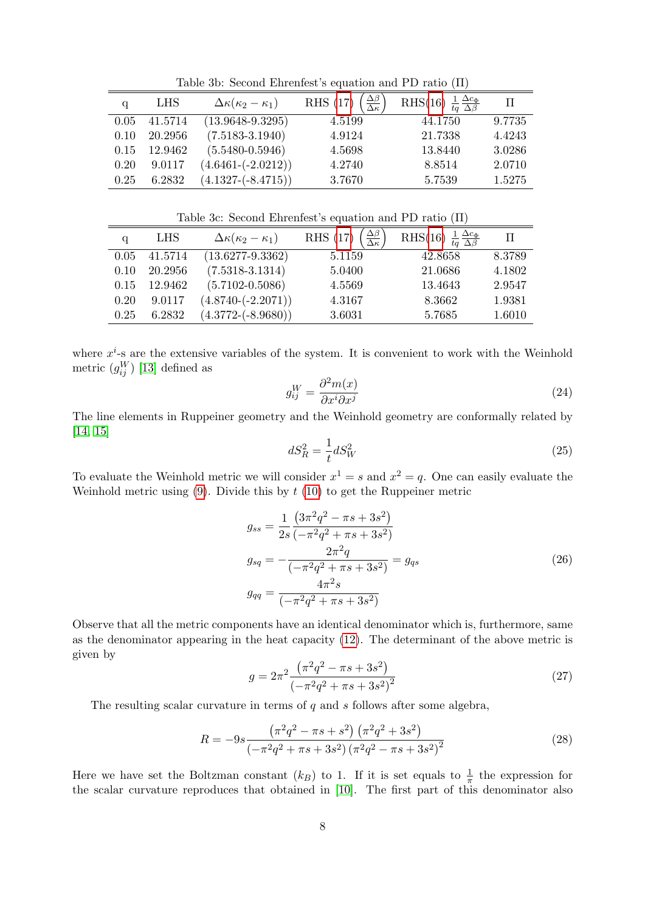Table 3b: Second Ehrenfest's equation and PD ratio (Π)

| q    | <b>LHS</b> | $\Delta \kappa(\kappa_2-\kappa_1)$ | $\frac{\Delta \beta}{\Delta \kappa}$<br><b>RHS</b> (17) | RHS(16) $\frac{1}{ta} \frac{\Delta c_{\Phi}}{\Delta \beta}$ | TI.    |
|------|------------|------------------------------------|---------------------------------------------------------|-------------------------------------------------------------|--------|
| 0.05 | 41.5714    | $(13.9648 - 9.3295)$               | 4.5199                                                  | 44.1750                                                     | 9.7735 |
| 0.10 | 20.2956    | $(7.5183 - 3.1940)$                | 4.9124                                                  | 21.7338                                                     | 4.4243 |
| 0.15 | 12.9462    | $(5.5480 - 0.5946)$                | 4.5698                                                  | 13.8440                                                     | 3.0286 |
| 0.20 | 9.0117     | $(4.6461 - (-2.0212))$             | 4.2740                                                  | 8.8514                                                      | 2.0710 |
| 0.25 | 6.2832     | $(4.1327 - (-8.4715))$             | 3.7670                                                  | 5.7539                                                      | 1.5275 |

Table 3c: Second Ehrenfest's equation and PD ratio (Π)

| a    | <b>LHS</b> | $\Delta \kappa(\kappa_2-\kappa_1)$ | $\frac{\Delta\beta}{\Delta\kappa}$<br>RHS (17) | RHS(16) $\frac{1}{tq} \frac{\Delta c_{\Phi}}{\Delta \beta}$ | $\mathbf \Pi$ |
|------|------------|------------------------------------|------------------------------------------------|-------------------------------------------------------------|---------------|
| 0.05 | 41.5714    | $(13.6277 - 9.3362)$               | 5.1159                                         | 42.8658                                                     | 8.3789        |
| 0.10 | 20.2956    | $(7.5318 - 3.1314)$                | 5.0400                                         | 21.0686                                                     | 4.1802        |
| 0.15 | 12.9462    | $(5.7102 - 0.5086)$                | 4.5569                                         | 13.4643                                                     | 2.9547        |
| 0.20 | 9.0117     | $(4.8740 - (-2.2071))$             | 4.3167                                         | 8.3662                                                      | 1.9381        |
| 0.25 | 6.2832     | $(4.3772 - (-8.9680))$             | 3.6031                                         | 5.7685                                                      | 1.6010        |

where  $x^i$ -s are the extensive variables of the system. It is convenient to work with the Weinhold metric  $(g_{ij}^W)$  [\[13\]](#page-11-11) defined as

$$
g_{ij}^W = \frac{\partial^2 m(x)}{\partial x^i \partial x^j} \tag{24}
$$

The line elements in Ruppeiner geometry and the Weinhold geometry are conformally related by [\[14,](#page-11-12) [15\]](#page-11-13)

$$
dS_R^2 = \frac{1}{t} dS_W^2 \tag{25}
$$

To evaluate the Weinhold metric we will consider  $x^1 = s$  and  $x^2 = q$ . One can easily evaluate the Weinhold metric using  $(9)$ . Divide this by  $t(10)$  $t(10)$  to get the Ruppeiner metric

$$
g_{ss} = \frac{1}{2s} \frac{\left(3\pi^2 q^2 - \pi s + 3s^2\right)}{\left(-\pi^2 q^2 + \pi s + 3s^2\right)}
$$
  
\n
$$
g_{sq} = -\frac{2\pi^2 q}{\left(-\pi^2 q^2 + \pi s + 3s^2\right)} = g_{qs}
$$
  
\n
$$
g_{qq} = \frac{4\pi^2 s}{\left(-\pi^2 q^2 + \pi s + 3s^2\right)}
$$
\n(26)

Observe that all the metric components have an identical denominator which is, furthermore, same as the denominator appearing in the heat capacity [\(12\)](#page-2-1). The determinant of the above metric is given by

$$
g = 2\pi^2 \frac{\left(\pi^2 q^2 - \pi s + 3s^2\right)}{\left(-\pi^2 q^2 + \pi s + 3s^2\right)^2}
$$
\n(27)

The resulting scalar curvature in terms of  $q$  and  $s$  follows after some algebra,

$$
R = -9s \frac{\left(\pi^2 q^2 - \pi s + s^2\right) \left(\pi^2 q^2 + 3s^2\right)}{\left(-\pi^2 q^2 + \pi s + 3s^2\right) \left(\pi^2 q^2 - \pi s + 3s^2\right)^2}
$$
\n(28)

Here we have set the Boltzman constant  $(k_B)$  to 1. If it is set equals to  $\frac{1}{\pi}$  the expression for the scalar curvature reproduces that obtained in [\[10\]](#page-11-10). The first part of this denominator also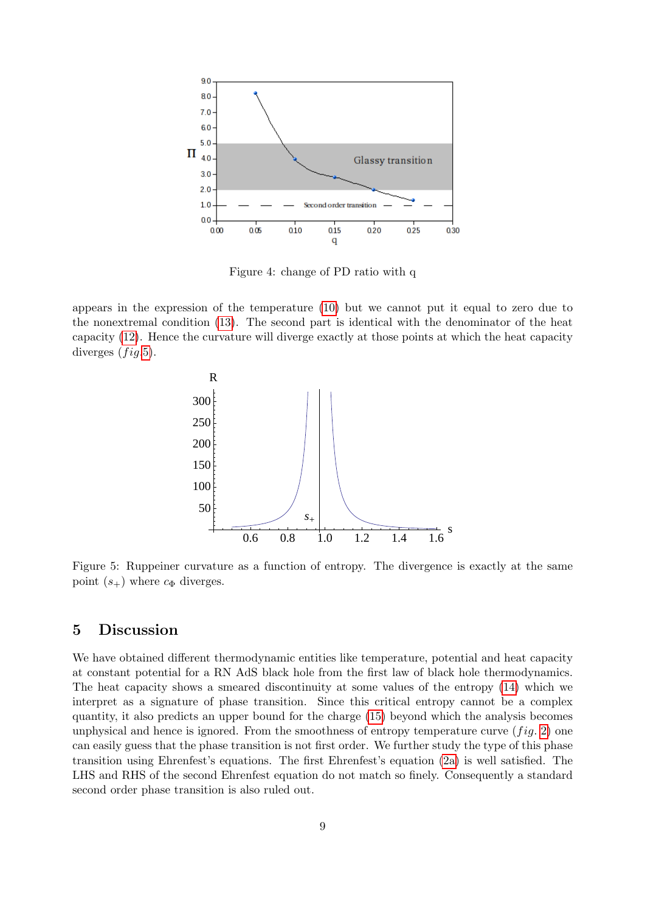

<span id="page-8-0"></span>Figure 4: change of PD ratio with q

appears in the expression of the temperature [\(10\)](#page-2-1) but we cannot put it equal to zero due to the nonextremal condition [\(13\)](#page-2-2). The second part is identical with the denominator of the heat capacity [\(12\)](#page-2-1). Hence the curvature will diverge exactly at those points at which the heat capacity diverges  $(fig.5)$  $(fig.5)$ .



<span id="page-8-1"></span>Figure 5: Ruppeiner curvature as a function of entropy. The divergence is exactly at the same point  $(s_+)$  where  $c_{\Phi}$  diverges.

#### 5 Discussion

We have obtained different thermodynamic entities like temperature, potential and heat capacity at constant potential for a RN AdS black hole from the first law of black hole thermodynamics. The heat capacity shows a smeared discontinuity at some values of the entropy [\(14\)](#page-2-3) which we interpret as a signature of phase transition. Since this critical entropy cannot be a complex quantity, it also predicts an upper bound for the charge [\(15\)](#page-3-1) beyond which the analysis becomes unphysical and hence is ignored. From the smoothness of entropy temperature curve  $(fig. 2)$  $(fig. 2)$  one can easily guess that the phase transition is not first order. We further study the type of this phase transition using Ehrenfest's equations. The first Ehrenfest's equation [\(2a\)](#page-2-4) is well satisfied. The LHS and RHS of the second Ehrenfest equation do not match so finely. Consequently a standard second order phase transition is also ruled out.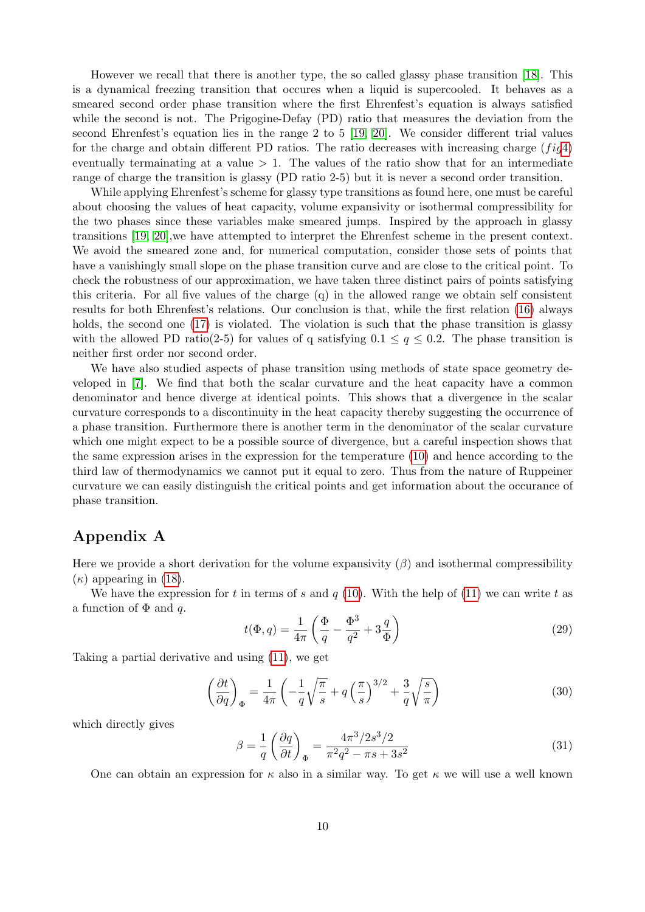However we recall that there is another type, the so called glassy phase transition [\[18\]](#page-12-1). This is a dynamical freezing transition that occures when a liquid is supercooled. It behaves as a smeared second order phase transition where the first Ehrenfest's equation is always satisfied while the second is not. The Prigogine-Defay (PD) ratio that measures the deviation from the second Ehrenfest's equation lies in the range 2 to 5 [\[19,](#page-12-2) [20\]](#page-12-3). We consider different trial values for the charge and obtain different PD ratios. The ratio decreases with increasing charge  $(f i q4)$  $(f i q4)$ eventually termainating at a value  $> 1$ . The values of the ratio show that for an intermediate range of charge the transition is glassy (PD ratio 2-5) but it is never a second order transition.

While applying Ehrenfest's scheme for glassy type transitions as found here, one must be careful about choosing the values of heat capacity, volume expansivity or isothermal compressibility for the two phases since these variables make smeared jumps. Inspired by the approach in glassy transitions [\[19,](#page-12-2) [20\]](#page-12-3),we have attempted to interpret the Ehrenfest scheme in the present context. We avoid the smeared zone and, for numerical computation, consider those sets of points that have a vanishingly small slope on the phase transition curve and are close to the critical point. To check the robustness of our approximation, we have taken three distinct pairs of points satisfying this criteria. For all five values of the charge (q) in the allowed range we obtain self consistent results for both Ehrenfest's relations. Our conclusion is that, while the first relation [\(16\)](#page-4-1) always holds, the second one [\(17\)](#page-4-1) is violated. The violation is such that the phase transition is glassy with the allowed PD ratio(2-5) for values of q satisfying  $0.1 \le q \le 0.2$ . The phase transition is neither first order nor second order.

We have also studied aspects of phase transition using methods of state space geometry developed in [\[7\]](#page-11-6). We find that both the scalar curvature and the heat capacity have a common denominator and hence diverge at identical points. This shows that a divergence in the scalar curvature corresponds to a discontinuity in the heat capacity thereby suggesting the occurrence of a phase transition. Furthermore there is another term in the denominator of the scalar curvature which one might expect to be a possible source of divergence, but a careful inspection shows that the same expression arises in the expression for the temperature [\(10\)](#page-2-1) and hence according to the third law of thermodynamics we cannot put it equal to zero. Thus from the nature of Ruppeiner curvature we can easily distinguish the critical points and get information about the occurance of phase transition.

#### Appendix A

Here we provide a short derivation for the volume expansivity  $(\beta)$  and isothermal compressibility  $(\kappa)$  appearing in [\(18\)](#page-4-3).

We have the expression for t in terms of s and  $q(10)$  $q(10)$ . With the help of [\(11\)](#page-2-1) we can write t as a function of  $\Phi$  and q.

<span id="page-9-1"></span>
$$
t(\Phi, q) = \frac{1}{4\pi} \left( \frac{\Phi}{q} - \frac{\Phi^3}{q^2} + 3\frac{q}{\Phi} \right)
$$
 (29)

Taking a partial derivative and using [\(11\)](#page-2-1), we get

<span id="page-9-0"></span>
$$
\left(\frac{\partial t}{\partial q}\right)_{\Phi} = \frac{1}{4\pi} \left( -\frac{1}{q} \sqrt{\frac{\pi}{s}} + q \left(\frac{\pi}{s}\right)^{3/2} + \frac{3}{q} \sqrt{\frac{s}{\pi}} \right) \tag{30}
$$

which directly gives

$$
\beta = \frac{1}{q} \left( \frac{\partial q}{\partial t} \right)_{\Phi} = \frac{4\pi^3 / 2s^3 / 2}{\pi^2 q^2 - \pi s + 3s^2} \tag{31}
$$

One can obtain an expression for  $\kappa$  also in a similar way. To get  $\kappa$  we will use a well known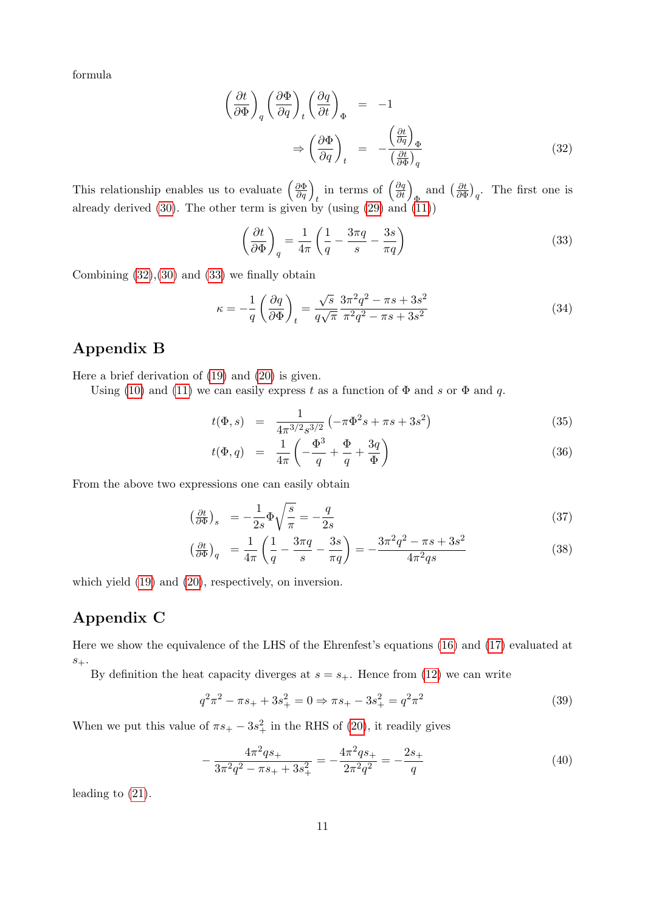formula

<span id="page-10-0"></span>
$$
\left(\frac{\partial t}{\partial \Phi}\right)_q \left(\frac{\partial \Phi}{\partial q}\right)_t \left(\frac{\partial q}{\partial t}\right)_{\Phi} = -1
$$
\n
$$
\Rightarrow \left(\frac{\partial \Phi}{\partial q}\right)_t = -\frac{\left(\frac{\partial t}{\partial q}\right)_{\Phi}}{\left(\frac{\partial t}{\partial \Phi}\right)_q} \tag{32}
$$

This relationship enables us to evaluate  $\left(\frac{\partial \Phi}{\partial q}\right)_t$  in terms of  $\left(\frac{\partial q}{\partial t}\right)_{\Phi}$  and  $\left(\frac{\partial t}{\partial \Phi}\right)_{\Phi}$  $\frac{\partial t}{\partial \Phi}\big)_q$ . The first one is already derived [\(30\)](#page-9-0). The other term is given by (using [\(29\)](#page-9-1) and [\(11\)](#page-2-1))

<span id="page-10-1"></span>
$$
\left(\frac{\partial t}{\partial \Phi}\right)_q = \frac{1}{4\pi} \left(\frac{1}{q} - \frac{3\pi q}{s} - \frac{3s}{\pi q}\right)
$$
\n(33)

Combining  $(32),(30)$  $(32),(30)$  $(32),(30)$  and  $(33)$  we finally obtain

$$
\kappa = -\frac{1}{q} \left( \frac{\partial q}{\partial \Phi} \right)_t = \frac{\sqrt{s}}{q\sqrt{\pi}} \frac{3\pi^2 q^2 - \pi s + 3s^2}{\pi^2 q^2 - \pi s + 3s^2}
$$
(34)

### Appendix B

Here a brief derivation of [\(19\)](#page-4-2) and [\(20\)](#page-4-2) is given.

Using [\(10\)](#page-2-1) and [\(11\)](#page-2-1) we can easily express t as a function of  $\Phi$  and s or  $\Phi$  and q.

$$
t(\Phi, s) = \frac{1}{4\pi^{3/2}s^{3/2}} \left( -\pi \Phi^2 s + \pi s + 3s^2 \right)
$$
 (35)

$$
t(\Phi, q) = \frac{1}{4\pi} \left( -\frac{\Phi^3}{q} + \frac{\Phi}{q} + \frac{3q}{\Phi} \right) \tag{36}
$$

From the above two expressions one can easily obtain

$$
\left(\frac{\partial t}{\partial \Phi}\right)_s = -\frac{1}{2s} \Phi \sqrt{\frac{s}{\pi}} = -\frac{q}{2s} \tag{37}
$$

$$
\left(\frac{\partial t}{\partial \Phi}\right)_q = \frac{1}{4\pi} \left(\frac{1}{q} - \frac{3\pi q}{s} - \frac{3s}{\pi q}\right) = -\frac{3\pi^2 q^2 - \pi s + 3s^2}{4\pi^2 qs} \tag{38}
$$

which yield [\(19\)](#page-4-2) and [\(20\)](#page-4-2), respectively, on inversion.

## Appendix C

Here we show the equivalence of the LHS of the Ehrenfest's equations [\(16\)](#page-4-1) and [\(17\)](#page-4-1) evaluated at  $s_{+}$ .

By definition the heat capacity diverges at  $s = s_{+}$ . Hence from [\(12\)](#page-2-1) we can write

$$
q^2 \pi^2 - \pi s_+ + 3s_+^2 = 0 \Rightarrow \pi s_+ - 3s_+^2 = q^2 \pi^2 \tag{39}
$$

When we put this value of  $\pi s_+ - 3s_+^2$  in the RHS of [\(20\)](#page-4-2), it readily gives

$$
-\frac{4\pi^2qs_+}{3\pi^2q^2 - \pi s_+ + 3s_+^2} = -\frac{4\pi^2qs_+}{2\pi^2q^2} = -\frac{2s_+}{q} \tag{40}
$$

leading to [\(21\)](#page-4-4).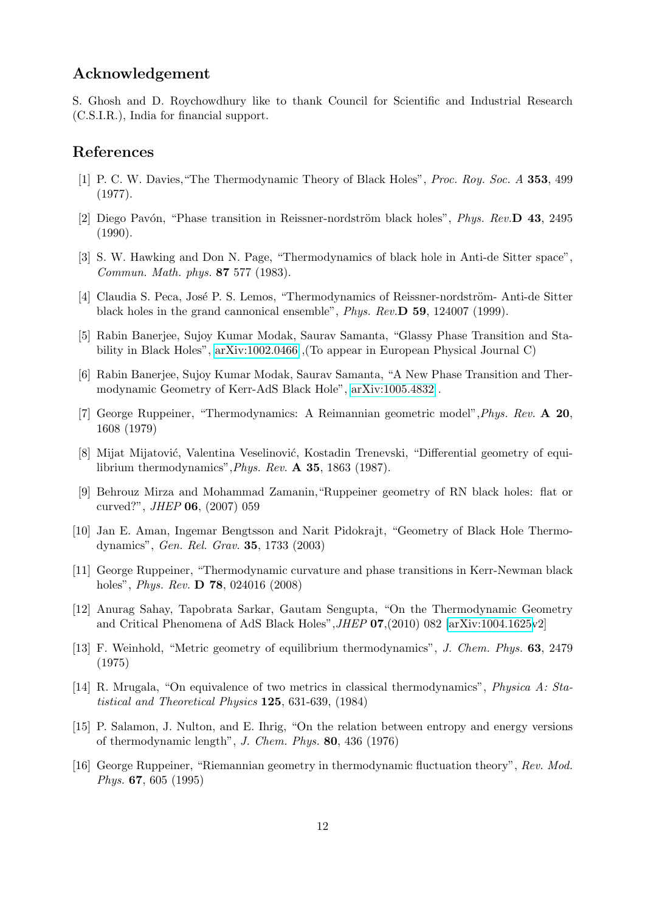#### Acknowledgement

S. Ghosh and D. Roychowdhury like to thank Council for Scientific and Industrial Research (C.S.I.R.), India for financial support.

#### References

- <span id="page-11-0"></span>[1] P. C. W. Davies,"The Thermodynamic Theory of Black Holes", Proc. Roy. Soc. A 353, 499 (1977).
- <span id="page-11-1"></span>[2] Diego Pavón, "Phase transition in Reissner-nordström black holes", *Phys. Rev.*  $\bf{D}$  43, 2495 (1990).
- <span id="page-11-2"></span>[3] S. W. Hawking and Don N. Page, "Thermodynamics of black hole in Anti-de Sitter space", Commun. Math. phys. 87 577 (1983).
- <span id="page-11-3"></span>[4] Claudia S. Peca, José P. S. Lemos, "Thermodynamics of Reissner-nordström- Anti-de Sitter black holes in the grand cannonical ensemble", Phys. Rev.D 59, 124007 (1999).
- <span id="page-11-4"></span>[5] Rabin Banerjee, Sujoy Kumar Modak, Saurav Samanta, "Glassy Phase Transition and Stability in Black Holes", [arXiv:1002.0466](http://arxiv.org/abs/1002.0466) ,(To appear in European Physical Journal C)
- <span id="page-11-5"></span>[6] Rabin Banerjee, Sujoy Kumar Modak, Saurav Samanta, "A New Phase Transition and Thermodynamic Geometry of Kerr-AdS Black Hole", [arXiv:1005.4832](http://arxiv.org/abs/1005.4832) .
- <span id="page-11-6"></span>[7] George Ruppeiner, "Thermodynamics: A Reimannian geometric model",Phys. Rev. A 20, 1608 (1979)
- <span id="page-11-7"></span>[8] Mijat Mijatović, Valentina Veselinović, Kostadin Trenevski, "Differential geometry of equilibrium thermodynamics",Phys. Rev. A 35, 1863 (1987).
- <span id="page-11-8"></span>[9] Behrouz Mirza and Mohammad Zamanin,"Ruppeiner geometry of RN black holes: flat or curved?", JHEP 06, (2007) 059
- <span id="page-11-10"></span>[10] Jan E. Aman, Ingemar Bengtsson and Narit Pidokrajt, "Geometry of Black Hole Thermodynamics", Gen. Rel. Grav. 35, 1733 (2003)
- [11] George Ruppeiner, "Thermodynamic curvature and phase transitions in Kerr-Newman black holes", *Phys. Rev.* **D 78**, 024016 (2008)
- [12] Anurag Sahay, Tapobrata Sarkar, Gautam Sengupta, "On the Thermodynamic Geometry and Critical Phenomena of AdS Black Holes",JHEP 07,(2010) 082 [\[arXiv:1004.1625v](http://arxiv.org/abs/1004.1625)2]
- <span id="page-11-11"></span>[13] F. Weinhold, "Metric geometry of equilibrium thermodynamics", J. Chem. Phys. 63, 2479 (1975)
- <span id="page-11-12"></span>[14] R. Mrugala, "On equivalence of two metrics in classical thermodynamics", Physica A: Statistical and Theoretical Physics 125, 631-639, (1984)
- <span id="page-11-13"></span>[15] P. Salamon, J. Nulton, and E. Ihrig, "On the relation between entropy and energy versions of thermodynamic length", J. Chem. Phys. 80, 436 (1976)
- <span id="page-11-9"></span>[16] George Ruppeiner, "Riemannian geometry in thermodynamic fluctuation theory", Rev. Mod. Phys. 67, 605 (1995)